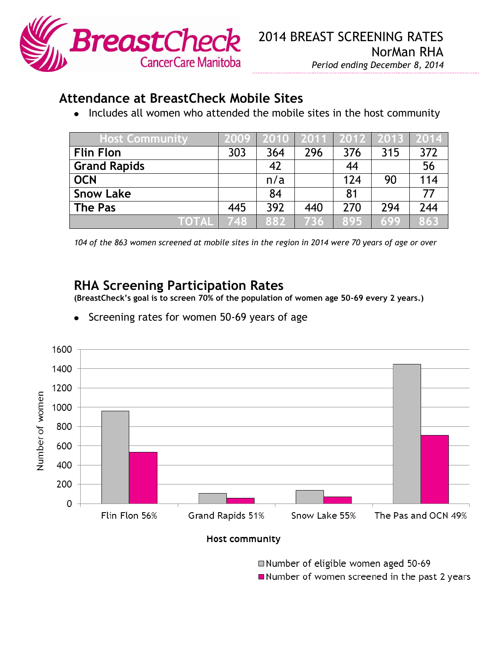

## **Attendance at BreastCheck Mobile Sites**

• Includes all women who attended the mobile sites in the host community

| <b>Host Community</b> | 2009 |     |     |     | 2010   2011   2012   2013   2014 |     |
|-----------------------|------|-----|-----|-----|----------------------------------|-----|
| <b>Flin Flon</b>      | 303  | 364 | 296 | 376 | 315                              | 372 |
| <b>Grand Rapids</b>   |      | 42  |     | 44  |                                  | 56  |
| <b>OCN</b>            |      | n/a |     | 124 | 90                               | 114 |
| <b>Snow Lake</b>      |      | 84  |     | 81  |                                  | 77  |
| <b>The Pas</b>        | 445  | 392 | 440 | 270 | 294                              | 244 |
| <b>TOTAL</b>          | 748  | 882 | 736 | 895 | 699                              | 863 |

*104 of the 863 women screened at mobile sites in the region in 2014 were 70 years of age or over*

## **RHA Screening Participation Rates**

**(BreastCheck's goal is to screen 70% of the population of women age 50-69 every 2 years.)**

Screening rates for women 50-69 years of age $\bullet$ 



Host community

Number of eligible women aged 50-69 Number of women screened in the past 2 years